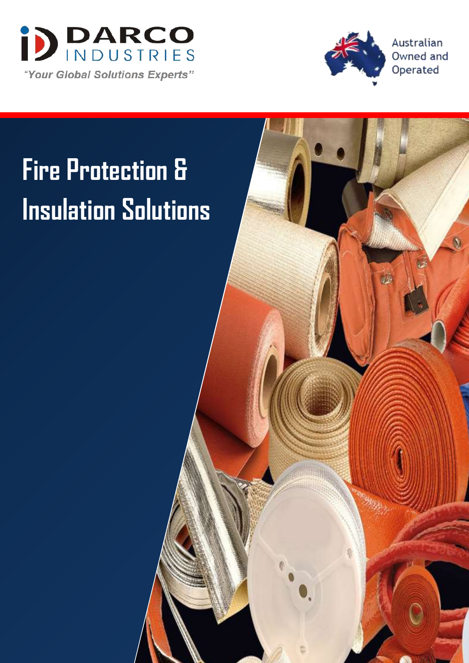



磁

Australian Owned and Operated

 $\bullet$ 

# **Fire Protection & Insulation Solutions**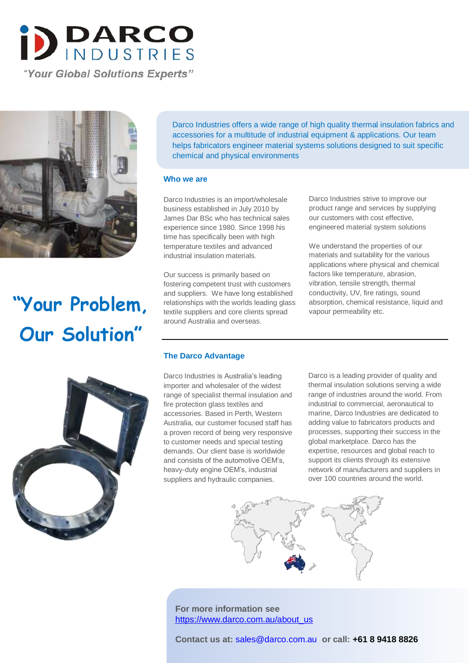

"Your Global Solutions Experts"



## **"Your Problem, Our Solution"**



Darco Industries offers a wide range of high quality thermal insulation fabrics and accessories for a multitude of industrial equipment & applications. Our team helps fabricators engineer material systems solutions designed to suit specific chemical and physical environments

#### **Who we are**

Darco Industries is an import/wholesale business established in July 2010 by James Dar BSc who has technical sales experience since 1980. Since 1998 his time has specifically been with high temperature textiles and advanced industrial insulation materials.

Our success is primarily based on fostering competent trust with customers and suppliers. We have long established relationships with the worlds leading glass textile suppliers and core clients spread around Australia and overseas.

Darco Industries strive to improve our product range and services by supplying our customers with cost effective, engineered material system solutions

We understand the properties of our materials and suitability for the various applications where physical and chemical factors like temperature, abrasion, vibration, tensile strength, thermal conductivity, UV, fire ratings, sound absorption, chemical resistance, liquid and vapour permeability etc.

#### **The Darco Advantage**

Darco Industries is Australia's leading importer and wholesaler of the widest range of specialist thermal insulation and fire protection glass textiles and accessories. Based in Perth, Western Australia, our customer focused staff has a proven record of being very responsive to customer needs and special testing demands. Our client base is worldwide and consists of the automotive OEM's, heavy-duty engine OEM's, industrial suppliers and hydraulic companies.

Darco is a leading provider of quality and thermal insulation solutions serving a wide range of industries around the world. From industrial to commercial, aeronautical to marine, Darco Industries are dedicated to adding value to fabricators products and processes, supporting their success in the global marketplace. Darco has the expertise, resources and global reach to support its clients through its extensive network of manufacturers and suppliers in over 100 countries around the world.



**For more information see**  https://www.darco.com.au/about\_us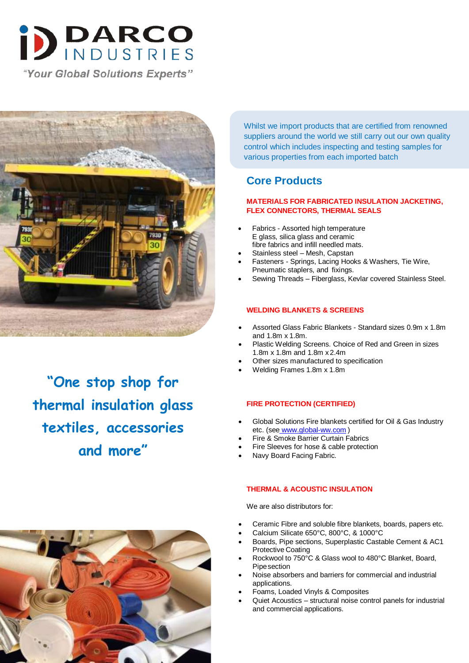

"Your Global Solutions Experts"



**"One stop shop for thermal insulation glass textiles, accessories and more"**

Whilst we import products that are certified from renowned suppliers around the world we still carry out our own quality control which includes inspecting and testing samples for various properties from each imported batch

### **Core Products**

#### **MATERIALS FOR FABRICATED INSULATION JACKETING, FLEX CONNECTORS, THERMAL SEALS**

- Fabrics Assorted high temperature E glass, silica glass and ceramic fibre fabrics and infill needled mats.
- Stainless steel Mesh, Capstan
- Fasteners Springs, Lacing Hooks & Washers, Tie Wire, Pneumatic staplers, and fixings.
- Sewing Threads Fiberglass, Kevlar covered Stainless Steel.

#### **WELDING BLANKETS & SCREENS**

- Assorted Glass Fabric Blankets Standard sizes 0.9m x 1.8m and 1.8m x 1.8m.
- Plastic Welding Screens. Choice of Red and Green in sizes 1.8m x 1.8m and 1.8m x 2.4m
- Other sizes manufactured to specification
- Welding Frames 1.8m x 1.8m

#### **FIRE PROTECTION (CERTIFIED)**

- Global Solutions Fire blankets certified for Oil & Gas Industry etc. (see www.global-ww.com )
- Fire & Smoke Barrier Curtain Fabrics
- Fire Sleeves for hose & cable protection
- Navy Board Facing Fabric.

#### **THERMAL & ACOUSTIC INSULATION**

We are also distributors for:

- Ceramic Fibre and soluble fibre blankets, boards, papers etc.
- Calcium Silicate 650°C, 800°C, & 1000°C
- Boards, Pipe sections, Superplastic Castable Cement & AC1 Protective Coating
- Rockwool to 750°C & Glass wool to 480°C Blanket, Board, Pipesection
- Noise absorbers and barriers for commercial and industrial applications.
- Foams, Loaded Vinyls & Composites
- Quiet Acoustics structural noise control panels for industrial and commercial applications.

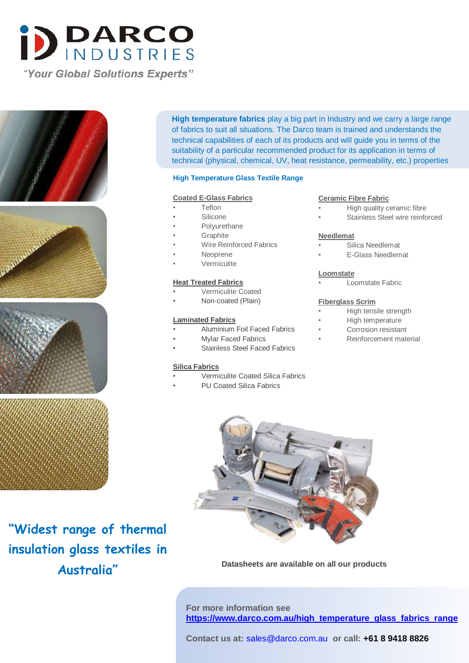







**High temperature fabrics** play a big part in Industry and we carry a large range of fabrics to suit all situations. The Darco team is trained and understands the technical capabilities of each of its products and will guide you in terms of the suitability of a particular recommended product for its application in terms of technical (physical, chemical, UV, heat resistance, permeability, etc.) properties

#### **High Temperature Glass Textile Range**

#### **Coated E-Glass Fabrics**

- Teflon
- **Silicone**
- Polyurethane
- **Graphite**
- Wire Reinforced Fabrics
- Neoprene
- Vermiculite

#### **Heat Treated Fabrics**

- Vermiculite Coated
- Non-coated (Plain)

#### **Laminated Fabrics**

- Aluminium Foil Faced Fabrics
- Mylar Faced Fabrics
- Stainless Steel Faced Fabrics

#### **Silica Fabrics**

- Vermiculite Coated Silica Fabrics
	- PU Coated Silica Fabrics

#### **Ceramic Fibre Fabric**

- High quality ceramic fibre
- Stainless Steel wire reinforced

#### **Needlemat**

- Silica Needlemat
- E-Glass Needlemat

#### **Loomstate**

• Loomstate Fabric

#### **Fiberglass Scrim**

- High tensile strength
- High temperature
- Corrosion resistant
- Reinforcement material



**Datasheets are available on all our products**

**For more information see https://www.darco.com.au/high\_temperature\_glass\_fabrics\_range**

**insulation glass textiles in Australia"**

**"Widest range of thermal**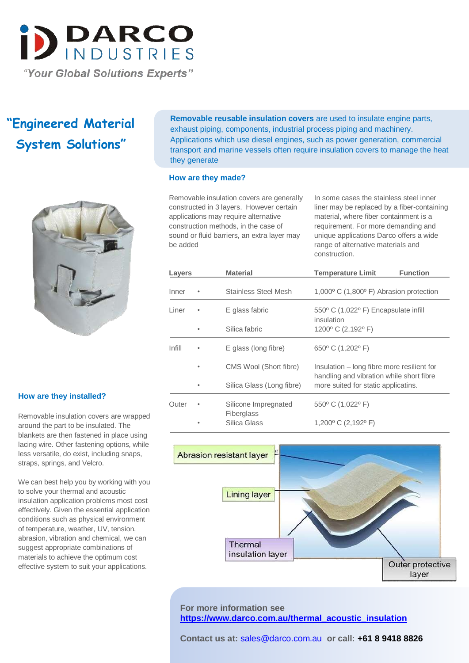

## **"Engineered Material System Solutions"**



#### **How are they installed?**

Removable insulation covers are wrapped around the part to be insulated. The blankets are then fastened in place using lacing wire. Other fastening options, while less versatile, do exist, including snaps, straps, springs, and Velcro.

We can best help you by working with you to solve your thermal and acoustic insulation application problems most cost effectively. Given the essential application conditions such as physical environment of temperature, weather, UV, tension, abrasion, vibration and chemical, we can suggest appropriate combinations of materials to achieve the optimum cost effective system to suit your applications.

**Removable reusable insulation covers** are used to insulate engine parts, exhaust piping, components, industrial process piping and machinery. Applications which use diesel engines, such as power generation, commercial transport and marine vessels often require insulation covers to manage the heat they generate

#### **How are they made?**

Removable insulation covers are generally constructed in 3 layers. However certain applications may require alternative construction methods, in the case of sound or fluid barriers, an extra layer may be added

In some cases the stainless steel inner liner may be replaced by a fiber-containing material, where fiber containment is a requirement. For more demanding and unique applications Darco offers a wide range of alternative materials and construction.

| Layers |   | <b>Material</b>                    | <b>Temperature Limit</b>                                                               | <b>Function</b> |
|--------|---|------------------------------------|----------------------------------------------------------------------------------------|-----------------|
| Inner  |   | <b>Stainless Steel Mesh</b>        | $1,000^{\circ}$ C (1,800 $^{\circ}$ F) Abrasion protection                             |                 |
| Liner  |   | E glass fabric                     | 550° C (1,022° F) Encapsulate infill<br>insulation                                     |                 |
|        |   | Silica fabric                      | 1200 $\degree$ C (2,192 $\degree$ F)                                                   |                 |
| Infill |   | E glass (long fibre)               | 650° C (1,202° F)                                                                      |                 |
|        | ٠ | CMS Wool (Short fibre)             | Insulation – long fibre more resilient for<br>handling and vibration while short fibre |                 |
|        |   | Silica Glass (Long fibre)          | more suited for static applicatins.                                                    |                 |
| Outer  |   | Silicone Impregnated<br>Fiberglass | 550° C (1,022° F)                                                                      |                 |
|        |   | Silica Glass                       | 1,200 $\degree$ C (2,192 $\degree$ F)                                                  |                 |



**For more information see https://www.darco.com.au/thermal\_acoustic\_insulation**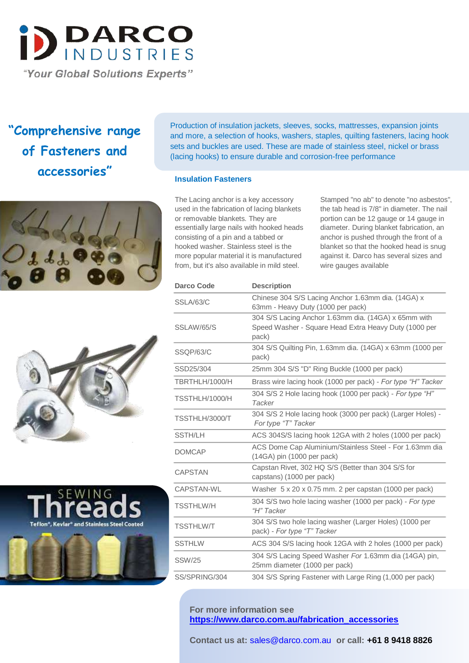

**"Comprehensive range of Fasteners and accessories"**







Production of insulation jackets, sleeves, socks, mattresses, expansion joints and more, a selection of hooks, washers, staples, quilting fasteners, lacing hook sets and buckles are used. These are made of stainless steel, nickel or brass (lacing hooks) to ensure durable and corrosion-free performance

#### **Insulation Fasteners**

The Lacing anchor is a key accessory used in the fabrication of lacing blankets or removable blankets. They are essentially large nails with hooked heads consisting of a pin and a tabbed or hooked washer. Stainless steel is the more popular material it is manufactured from, but it's also available in mild steel.

Stamped "no ab" to denote "no asbestos", the tab head is 7/8" in diameter. The nail portion can be 12 gauge or 14 gauge in diameter. During blanket fabrication, an anchor is pushed through the front of a blanket so that the hooked head is snug against it. Darco has several sizes and wire gauges available

| <b>Darco Code</b> | <b>Description</b>                                                                                                     |
|-------------------|------------------------------------------------------------------------------------------------------------------------|
| SSLA/63/C         | Chinese 304 S/S Lacing Anchor 1.63mm dia. (14GA) x<br>63mm - Heavy Duty (1000 per pack)                                |
| SSLAW/65/S        | 304 S/S Lacing Anchor 1.63mm dia. (14GA) x 65mm with<br>Speed Washer - Square Head Extra Heavy Duty (1000 per<br>pack) |
| SSQP/63/C         | 304 S/S Quilting Pin, 1.63mm dia. (14GA) x 63mm (1000 per<br>pack)                                                     |
| SSD25/304         | 25mm 304 S/S "D" Ring Buckle (1000 per pack)                                                                           |
| TBRTHLH/1000/H    | Brass wire lacing hook (1000 per pack) - For type "H" Tacker                                                           |
| TSSTHLH/1000/H    | 304 S/S 2 Hole lacing hook (1000 per pack) - For type "H"<br>Tacker                                                    |
| TSSTHLH/3000/T    | 304 S/S 2 Hole lacing hook (3000 per pack) (Larger Holes) -<br>For type "T" Tacker                                     |
| <b>SSTH/LH</b>    | ACS 304S/S lacing hook 12GA with 2 holes (1000 per pack)                                                               |
| <b>DOMCAP</b>     | ACS Dome Cap Aluminium/Stainless Steel - For 1.63mm dia<br>(14GA) pin (1000 per pack)                                  |
| <b>CAPSTAN</b>    | Capstan Rivet, 302 HQ S/S (Better than 304 S/S for<br>capstans) (1000 per pack)                                        |
| CAPSTAN-WL        | Washer 5 x 20 x 0.75 mm. 2 per capstan (1000 per pack)                                                                 |
| <b>TSSTHLW/H</b>  | 304 S/S two hole lacing washer (1000 per pack) - For type<br>"H" Tacker                                                |
| <b>TSSTHLW/T</b>  | 304 S/S two hole lacing washer (Larger Holes) (1000 per<br>pack) - For type "T" Tacker                                 |
| <b>SSTHLW</b>     | ACS 304 S/S lacing hook 12GA with 2 holes (1000 per pack)                                                              |
| <b>SSW/25</b>     | 304 S/S Lacing Speed Washer For 1.63mm dia (14GA) pin,<br>25mm diameter (1000 per pack)                                |
| SS/SPRING/304     | 304 S/S Spring Fastener with Large Ring (1,000 per pack)                                                               |

**For more information see https://www.darco.com.au/fabrication\_accessories**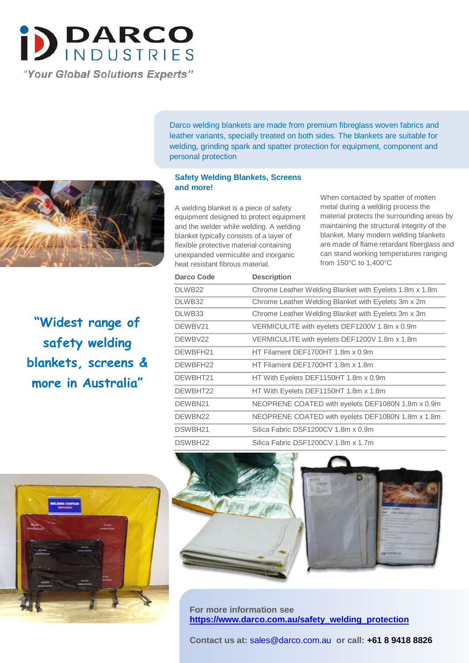

**"Widest range of safety welding blankets, screens & more in Australia"**

Darco welding blankets are made from premium fibreglass woven fabrics and leather variants, specially treated on both sides. The blankets are suitable for welding, grinding spark and spatter protection for equipment, component and personal protection

#### **Safety Welding Blankets, Screens and more!**

A welding blanket is a piece of safety equipment designed to protect equipment and the welder while welding. A welding blanket typically consists of a layer of flexible protective material containing unexpanded vermiculite and inorganic heat resistant fibrous material.

When contacted by spatter of molten metal during a welding process the material protects the surrounding areas by maintaining the structural integrity of the blanket. Many modern welding blankets are made of flame retardant fiberglass and can stand working temperatures ranging from 150°C to 1,400°C

| Darco Code | <b>Description</b>                                      |
|------------|---------------------------------------------------------|
| DLWB22     | Chrome Leather Welding Blanket with Eyelets 1.8m x 1.8m |
| DLWB32     | Chrome Leather Welding Blanket with Eyelets 3m x 2m     |
| DLWB33     | Chrome Leather Welding Blanket with Eyelets 3m x 3m     |
| DEWBV21    | VERMICULITE with eyelets DEF1200V 1.8m x 0.9m           |
| DEWBV22    | VERMICULITE with eyelets DEF1200V 1.8m x 1.8m           |
| DEWBFH21   | HT Filament DEF1700HT 1.8m x 0.9m                       |
| DEWBFH22   | HT Filament DEF1700HT 1.8m x 1.8m                       |
| DEWBHT21   | HT With Eyelets DEF1150HT 1.8m x 0.9m                   |
| DEWBHT22   | HT With Eyelets DEF1150HT 1.8m x 1.8m                   |
| DEWBN21    | NEOPRENE COATED with eyelets DEF1080N 1.8m x 0.9m       |
| DEWBN22    | NEOPRENE COATED with eyelets DEF1080N 1.8m x 1.8m       |
| DSWBH21    | Silica Fabric DSF1200CV 1.8m x 0.9m                     |
| DSWBH22    | Silica Fabric DSF1200CV 1.8m x 1.7m                     |





**For more information see https://www.darco.com.au/safety\_welding\_protection**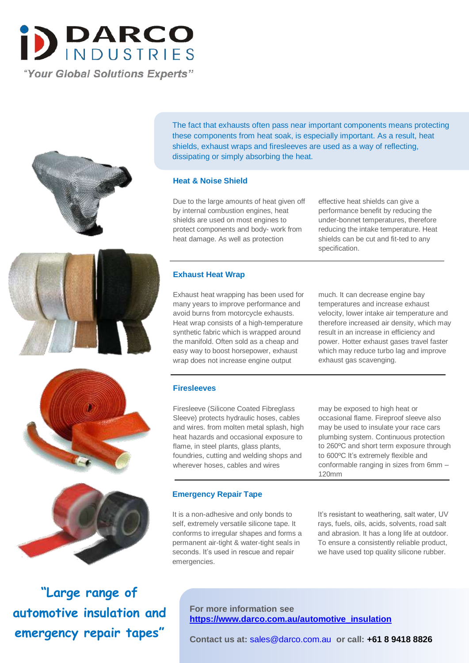



The fact that exhausts often pass near important components means protecting these components from heat soak, is especially important. As a result, heat shields, exhaust wraps and firesleeves are used as a way of reflecting, dissipating or simply absorbing the heat.

#### **Heat & Noise Shield**

Due to the large amounts of heat given off by internal combustion engines, heat shields are used on most engines to protect components and body- work from heat damage. As well as protection

effective heat shields can give a performance benefit by reducing the under-bonnet temperatures, therefore reducing the intake temperature. Heat shields can be cut and fit-ted to any specification.

#### **Exhaust Heat Wrap**

Exhaust heat wrapping has been used for many years to improve performance and avoid burns from motorcycle exhausts. Heat wrap consists of a high-temperature synthetic fabric which is wrapped around the manifold. Often sold as a cheap and easy way to boost horsepower, exhaust wrap does not increase engine output

much. It can decrease engine bay temperatures and increase exhaust velocity, lower intake air temperature and therefore increased air density, which may result in an increase in efficiency and power. Hotter exhaust gases travel faster which may reduce turbo lag and improve exhaust gas scavenging.





**"Large range of automotive insulation and emergency repair tapes"**

#### **Firesleeves**

Firesleeve (Silicone Coated Fibreglass Sleeve) protects hydraulic hoses, cables and wires. from molten metal splash, high heat hazards and occasional exposure to flame, in steel plants, glass plants, foundries, cutting and welding shops and wherever hoses, cables and wires

#### **Emergency Repair Tape**

It is a non-adhesive and only bonds to self, extremely versatile silicone tape. It conforms to irregular shapes and forms a permanent air-tight & water-tight seals in seconds. It's used in rescue and repair emergencies.

may be exposed to high heat or occasional flame. Fireproof sleeve also may be used to insulate your race cars plumbing system. Continuous protection to 260ºC and short term exposure through to 600ºC It's extremely flexible and conformable ranging in sizes from 6mm – 120mm

It's resistant to weathering, salt water, UV rays, fuels, oils, acids, solvents, road salt and abrasion. It has a long life at outdoor. To ensure a consistently reliable product, we have used top quality silicone rubber.

**For more information see https://www.darco.com.au/automotive\_insulation**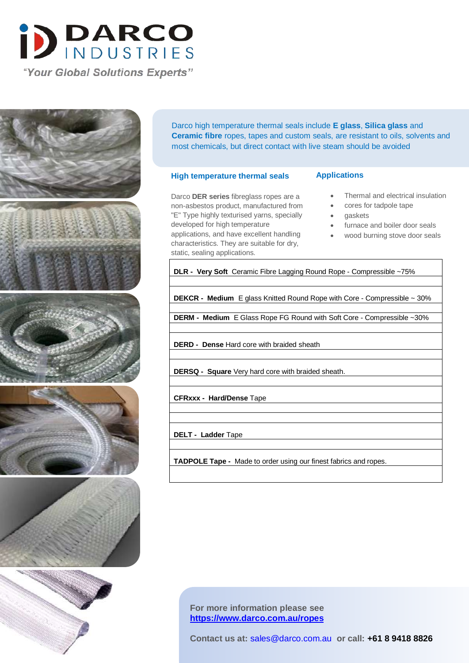

"Your Global Solutions Experts"



Darco high temperature thermal seals include **E glass**, **Silica glass** and **Ceramic fibre** ropes, tapes and custom seals, are resistant to oils, solvents and most chemicals, but direct contact with live steam should be avoided

#### **High temperature thermal seals**

#### **Applications**

Darco **DER series** fibreglass ropes are a non-asbestos product, manufactured from "E" Type highly texturised yarns, specially developed for high temperature applications, and have excellent handling characteristics. They are suitable for dry,

static, sealing applications.

Thermal and electrical insulation

- cores for tadpole tape
- gaskets
- furnace and boiler door seals
- wood burning stove door seals

**DLR - Very Soft** Ceramic Fibre Lagging Round Rope - Compressible ~75%

**DEKCR - Medium** E glass Knitted Round Rope with Core - Compressible ~ 30%

**DERM - Medium** E Glass Rope FG Round with Soft Core - Compressible ~30%

**DERD - Dense** Hard core with braided sheath

**DERSQ - Square** Very hard core with braided sheath.

**CFRxxx - Hard/Dense** Tape

**DELT - Ladder** Tape

**TADPOLE Tape -** Made to order using our finest fabrics and ropes.

**For more information please see https://www.darco.com.au/ropes**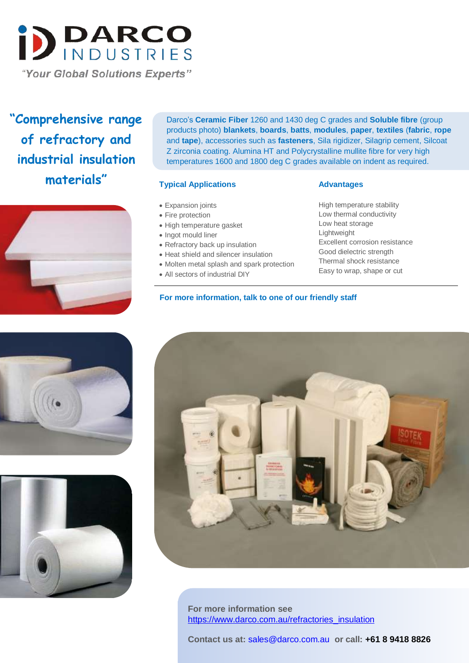

**"Comprehensive range of refractory and industrial insulation materials"**



Darco's **Ceramic Fiber** 1260 and 1430 deg C grades and **Soluble fibre** (group products photo) **blankets**, **boards**, **batts**, **modules**, **paper**, **textiles** (**fabric**, **rope** and **tape**), accessories such as **fasteners**, Sila rigidizer, Silagrip cement, Silcoat Z zirconia coating. Alumina HT and Polycrystalline mullite fibre for very high temperatures 1600 and 1800 deg C grades available on indent as required.

#### **Typical Applications**

- Expansion joints
- Fire protection
- High temperature gasket
- Ingot mould liner
- Refractory back up insulation
- Heat shield and silencer insulation
- Molten metal splash and spark protection

**For more information, talk to one of our friendly staff** 

All sectors of industrial DIY

#### **Advantages**

High temperature stability Low thermal conductivity Low heat storage Lightweight Excellent corrosion resistance Good dielectric strength Thermal shock resistance Easy to wrap, shape or cut







**For more information see** https://www.darco.com.au/refractories\_insulation

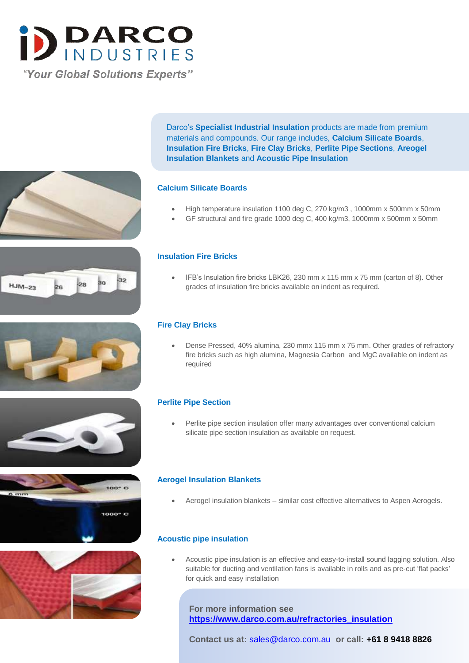

Darco's **Specialist Industrial Insulation** products are made from premium materials and compounds. Our range includes, **Calcium Silicate Boards**, **Insulation Fire Bricks**, **Fire Clay Bricks**, **Perlite Pipe Sections**, **Areogel Insulation Blankets** and **Acoustic Pipe Insulation**

#### **Calcium Silicate Boards**

- High temperature insulation 1100 deg C, 270 kg/m3, 1000mm x 500mm x 50mm
- GF structural and fire grade 1000 deg C, 400 kg/m3, 1000mm x 500mm x 50mm

#### **Insulation Fire Bricks**

 IFB's Insulation fire bricks LBK26, 230 mm x 115 mm x 75 mm (carton of 8). Other grades of insulation fire bricks available on indent as required.

#### **Fire Clay Bricks**

 Dense Pressed, 40% alumina, 230 mmx 115 mm x 75 mm. Other grades of refractory fire bricks such as high alumina, Magnesia Carbon and MgC available on indent as required

#### **Perlite Pipe Section**

 Perlite pipe section insulation offer many advantages over conventional calcium silicate pipe section insulation as available on request.

#### **Aerogel Insulation Blankets**

Aerogel insulation blankets – similar cost effective alternatives to Aspen Aerogels.

#### **Acoustic pipe insulation**

 Acoustic pipe insulation is an effective and easy-to-install sound lagging solution. Also suitable for ducting and ventilation fans is available in rolls and as pre-cut 'flat packs' for quick and easy installation

**For more information see https://www.darco.com.au/refractories\_insulation**